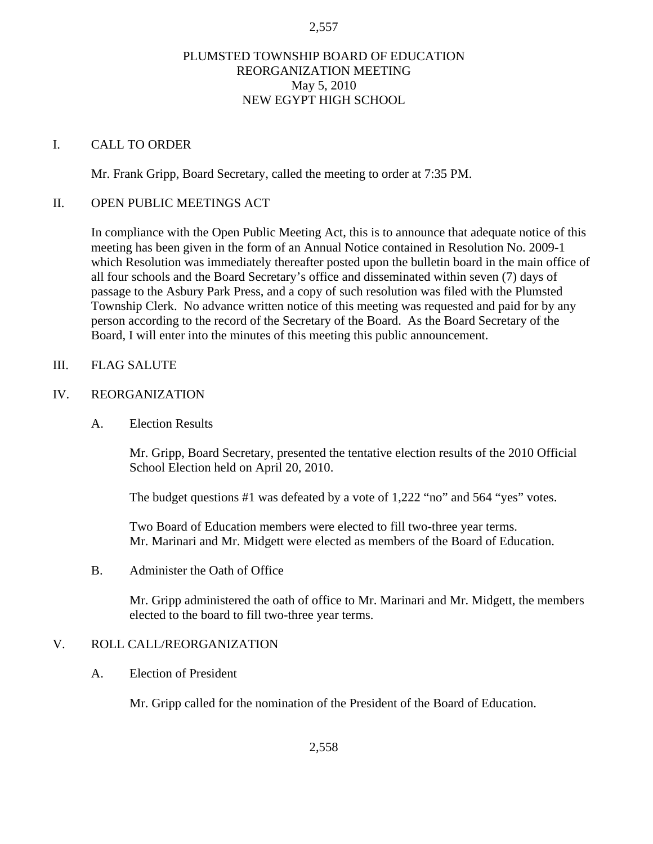## PLUMSTED TOWNSHIP BOARD OF EDUCATION REORGANIZATION MEETING May 5, 2010 NEW EGYPT HIGH SCHOOL

#### I. CALL TO ORDER

Mr. Frank Gripp, Board Secretary, called the meeting to order at 7:35 PM.

#### II. OPEN PUBLIC MEETINGS ACT

In compliance with the Open Public Meeting Act, this is to announce that adequate notice of this meeting has been given in the form of an Annual Notice contained in Resolution No. 2009-1 which Resolution was immediately thereafter posted upon the bulletin board in the main office of all four schools and the Board Secretary's office and disseminated within seven (7) days of passage to the Asbury Park Press, and a copy of such resolution was filed with the Plumsted Township Clerk. No advance written notice of this meeting was requested and paid for by any person according to the record of the Secretary of the Board. As the Board Secretary of the Board, I will enter into the minutes of this meeting this public announcement.

#### III. FLAG SALUTE

#### IV. REORGANIZATION

A. Election Results

Mr. Gripp, Board Secretary, presented the tentative election results of the 2010 Official School Election held on April 20, 2010.

The budget questions #1 was defeated by a vote of 1,222 "no" and 564 "yes" votes.

 Two Board of Education members were elected to fill two-three year terms. Mr. Marinari and Mr. Midgett were elected as members of the Board of Education.

#### B. Administer the Oath of Office

Mr. Gripp administered the oath of office to Mr. Marinari and Mr. Midgett, the members elected to the board to fill two-three year terms.

# V. ROLL CALL/REORGANIZATION

A. Election of President

Mr. Gripp called for the nomination of the President of the Board of Education.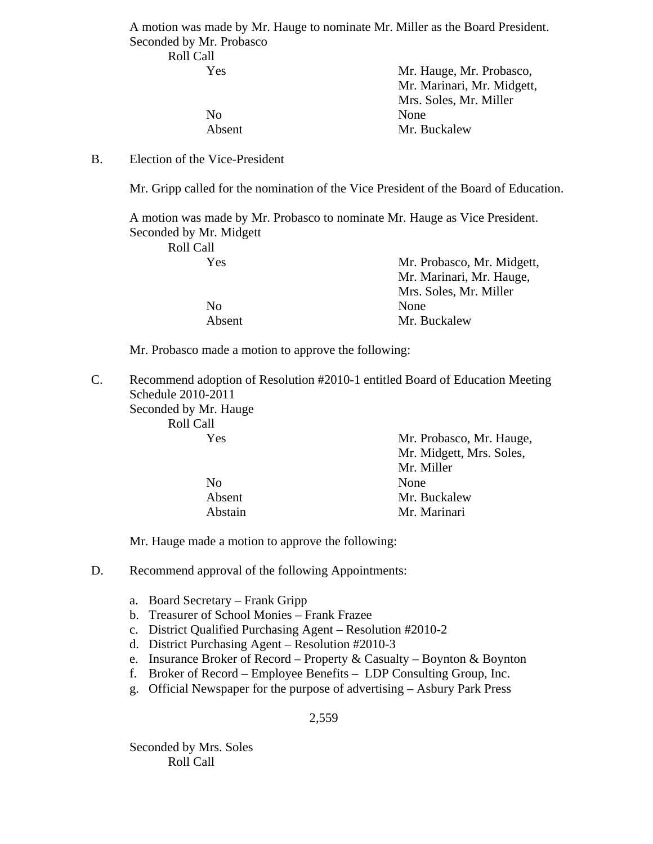A motion was made by Mr. Hauge to nominate Mr. Miller as the Board President. Seconded by Mr. Probasco

# No None

 Yes Mr. Hauge, Mr. Probasco, Mr. Marinari, Mr. Midgett, Mrs. Soles, Mr. Miller Absent Mr. Buckalew

## B. Election of the Vice-President

Roll Call

Mr. Gripp called for the nomination of the Vice President of the Board of Education.

 A motion was made by Mr. Probasco to nominate Mr. Hauge as Vice President. Seconded by Mr. Midgett

| Roll Call |                            |
|-----------|----------------------------|
| Yes       | Mr. Probasco, Mr. Midgett, |
|           | Mr. Marinari, Mr. Hauge,   |
|           | Mrs. Soles, Mr. Miller     |
| No.       | <b>None</b>                |
| Absent    | Mr. Buckalew               |

Mr. Probasco made a motion to approve the following:

C. Recommend adoption of Resolution #2010-1 entitled Board of Education Meeting Schedule 2010-2011 Seconded by Mr. Hauge

Roll Call

| Yes     | Mr. Probasco, Mr. Hauge, |
|---------|--------------------------|
|         | Mr. Midgett, Mrs. Soles, |
|         | Mr. Miller               |
| No.     | None                     |
| Absent  | Mr. Buckalew             |
| Abstain | Mr. Marinari             |

Mr. Hauge made a motion to approve the following:

D. Recommend approval of the following Appointments:

- a. Board Secretary Frank Gripp
- b. Treasurer of School Monies Frank Frazee
- c. District Qualified Purchasing Agent Resolution #2010-2
- d. District Purchasing Agent Resolution #2010-3
- e. Insurance Broker of Record Property & Casualty Boynton & Boynton
- f. Broker of Record Employee Benefits LDP Consulting Group, Inc.
- g. Official Newspaper for the purpose of advertising Asbury Park Press

2,559

Seconded by Mrs. Soles Roll Call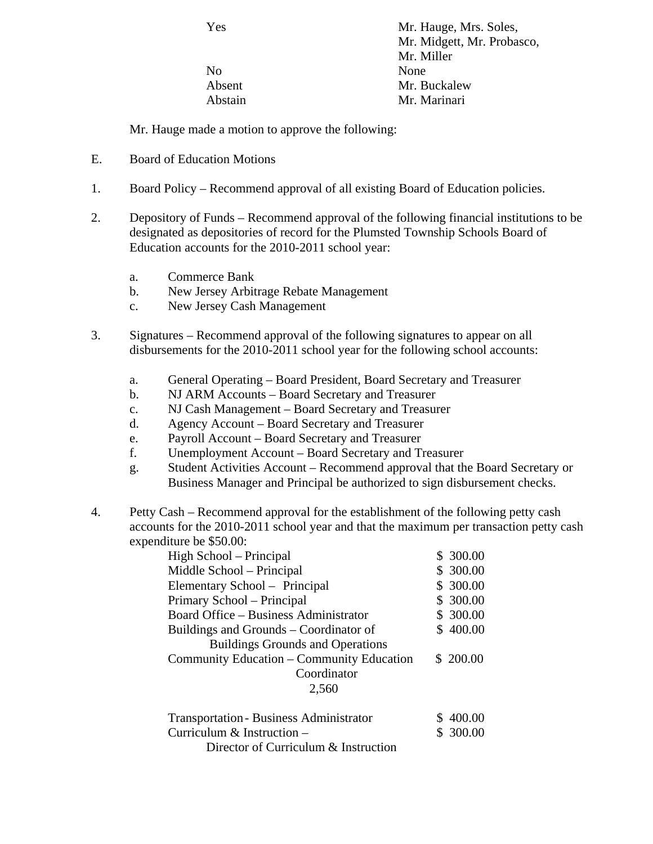Yes Mr. Hauge, Mrs. Soles, Mr. Midgett, Mr. Probasco, Mr. Miller No None Absent Mr. Buckalew Abstain Mr. Marinari

Mr. Hauge made a motion to approve the following:

- E. Board of Education Motions
- 1. Board Policy Recommend approval of all existing Board of Education policies.
- 2. Depository of Funds Recommend approval of the following financial institutions to be designated as depositories of record for the Plumsted Township Schools Board of Education accounts for the 2010-2011 school year:
	- a. Commerce Bank
	- b. New Jersey Arbitrage Rebate Management
	- c. New Jersey Cash Management
- 3. Signatures Recommend approval of the following signatures to appear on all disbursements for the 2010-2011 school year for the following school accounts:
	- a. General Operating Board President, Board Secretary and Treasurer
	- b. NJ ARM Accounts Board Secretary and Treasurer
	- c. NJ Cash Management Board Secretary and Treasurer
	- d. Agency Account Board Secretary and Treasurer
	- e. Payroll Account Board Secretary and Treasurer
	- f. Unemployment Account Board Secretary and Treasurer
	- g. Student Activities Account Recommend approval that the Board Secretary or Business Manager and Principal be authorized to sign disbursement checks.
- 4. Petty Cash Recommend approval for the establishment of the following petty cash accounts for the 2010-2011 school year and that the maximum per transaction petty cash expenditure be \$50.00:

| High School – Principal                        | \$300.00  |
|------------------------------------------------|-----------|
| Middle School – Principal                      | \$ 300.00 |
| Elementary School - Principal                  | \$ 300.00 |
| Primary School – Principal                     | \$ 300.00 |
| Board Office – Business Administrator          | \$ 300.00 |
| Buildings and Grounds – Coordinator of         | \$400.00  |
| <b>Buildings Grounds and Operations</b>        |           |
| Community Education - Community Education      | \$200.00  |
| Coordinator                                    |           |
| 2,560                                          |           |
| <b>Transportation - Business Administrator</b> | 400.00    |
| Curriculum $&$ Instruction –                   | \$ 300.00 |
| Director of Curriculum & Instruction           |           |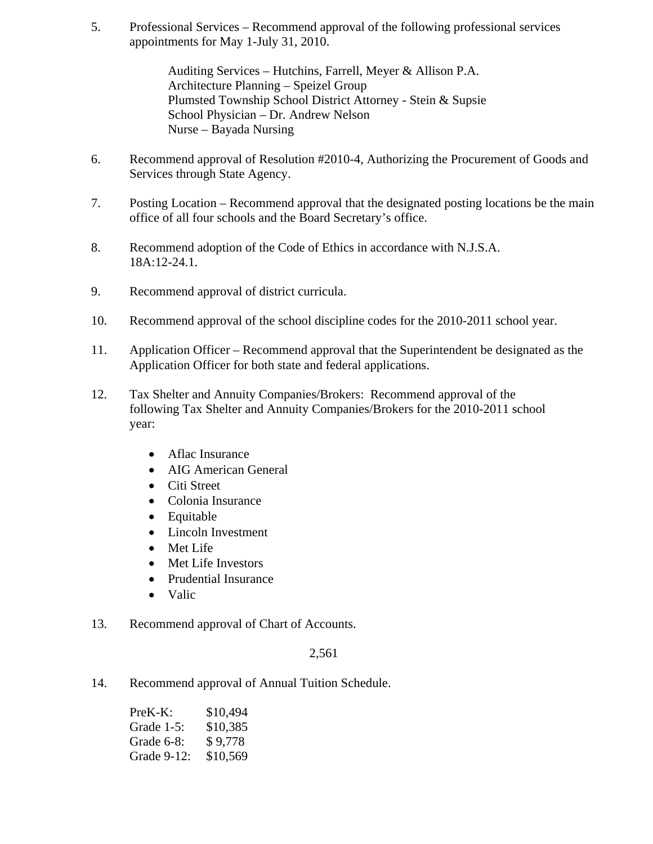5. Professional Services – Recommend approval of the following professional services appointments for May 1-July 31, 2010.

> Auditing Services – Hutchins, Farrell, Meyer & Allison P.A. Architecture Planning – Speizel Group Plumsted Township School District Attorney - Stein & Supsie School Physician – Dr. Andrew Nelson Nurse – Bayada Nursing

- 6. Recommend approval of Resolution #2010-4, Authorizing the Procurement of Goods and Services through State Agency.
- 7. Posting Location Recommend approval that the designated posting locations be the main office of all four schools and the Board Secretary's office.
- 8. Recommend adoption of the Code of Ethics in accordance with N.J.S.A. 18A:12-24.1.
- 9. Recommend approval of district curricula.
- 10. Recommend approval of the school discipline codes for the 2010-2011 school year.
- 11. Application Officer Recommend approval that the Superintendent be designated as the Application Officer for both state and federal applications.
- 12. Tax Shelter and Annuity Companies/Brokers: Recommend approval of the following Tax Shelter and Annuity Companies/Brokers for the 2010-2011 school year:
	- Aflac Insurance
	- AIG American General
	- Citi Street
	- Colonia Insurance
	- Equitable
	- Lincoln Investment
	- Met Life
	- Met Life Investors
	- Prudential Insurance
	- Valic
- 13. Recommend approval of Chart of Accounts.

#### 2,561

14. Recommend approval of Annual Tuition Schedule.

| $PreK-K:$   | \$10,494 |
|-------------|----------|
| Grade 1-5:  | \$10,385 |
| Grade 6-8:  | \$9,778  |
| Grade 9-12: | \$10,569 |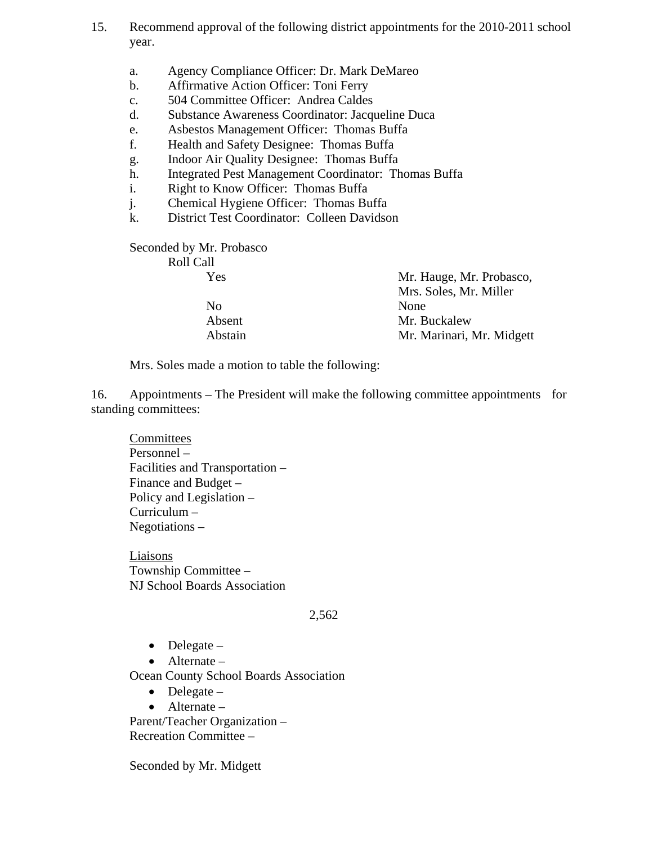- 15. Recommend approval of the following district appointments for the 2010-2011 school year.
	- a. Agency Compliance Officer: Dr. Mark DeMareo
	- b. Affirmative Action Officer: Toni Ferry
	- c. 504 Committee Officer: Andrea Caldes
	- d. Substance Awareness Coordinator: Jacqueline Duca
	- e. Asbestos Management Officer: Thomas Buffa
	- f. Health and Safety Designee: Thomas Buffa
	- g. Indoor Air Quality Designee: Thomas Buffa
	- h. Integrated Pest Management Coordinator: Thomas Buffa
	- i. Right to Know Officer: Thomas Buffa
	- j. Chemical Hygiene Officer: Thomas Buffa
	- k. District Test Coordinator: Colleen Davidson

Seconded by Mr. Probasco Roll Call

| Yes     | Mr. Hauge, Mr. Probasco,  |
|---------|---------------------------|
|         | Mrs. Soles, Mr. Miller    |
| No.     | None                      |
| Absent  | Mr. Buckalew              |
| Abstain | Mr. Marinari, Mr. Midgett |

Mrs. Soles made a motion to table the following:

16. Appointments – The President will make the following committee appointments for standing committees:

 Committees Personnel – Facilities and Transportation – Finance and Budget – Policy and Legislation – Curriculum – Negotiations –

**Liaisons**  Township Committee – NJ School Boards Association

#### 2,562

- $\bullet$  Delegate –
- Alternate –

Ocean County School Boards Association

- $\bullet$  Delegate –
- Alternate –

Parent/Teacher Organization – Recreation Committee –

Seconded by Mr. Midgett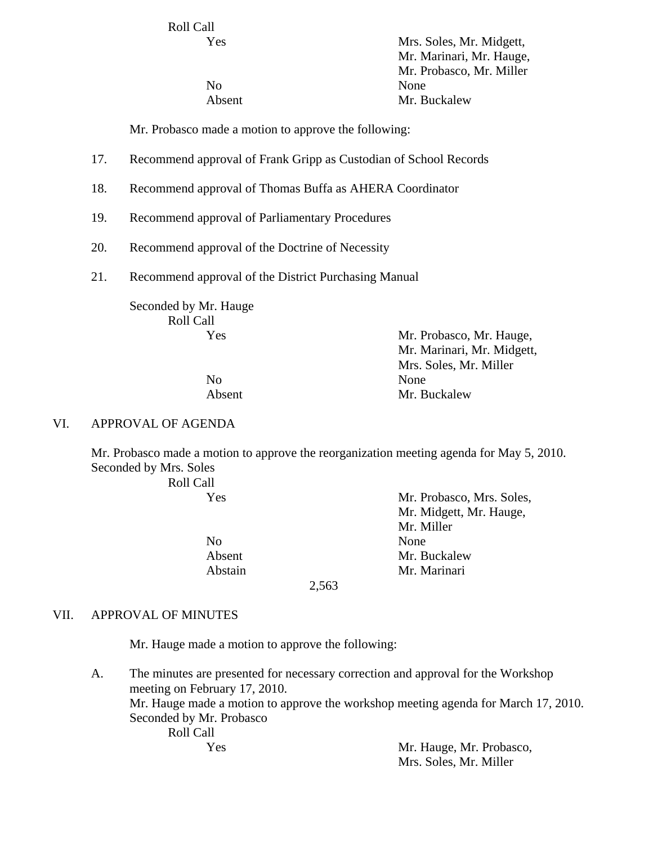Roll Call

 Yes Mrs. Soles, Mr. Midgett, Mr. Marinari, Mr. Hauge, Mr. Probasco, Mr. Miller No None Absent Mr. Buckalew

Mr. Probasco made a motion to approve the following:

- 17. Recommend approval of Frank Gripp as Custodian of School Records
- 18. Recommend approval of Thomas Buffa as AHERA Coordinator
- 19. Recommend approval of Parliamentary Procedures
- 20. Recommend approval of the Doctrine of Necessity
- 21. Recommend approval of the District Purchasing Manual

Seconded by Mr. Hauge Roll Call Yes Mr. Probasco, Mr. Hauge,

 Mr. Marinari, Mr. Midgett, Mrs. Soles, Mr. Miller No None Absent Mr. Buckalew

#### VI. APPROVAL OF AGENDA

Mr. Probasco made a motion to approve the reorganization meeting agenda for May 5, 2010. Seconded by Mrs. Soles

Roll Call

No None

 Yes Mr. Probasco, Mrs. Soles, Mr. Midgett, Mr. Hauge, Mr. Miller Absent Mr. Buckalew Abstain Mr. Marinari

2,563

#### VII. APPROVAL OF MINUTES

Mr. Hauge made a motion to approve the following:

A. The minutes are presented for necessary correction and approval for the Workshop meeting on February 17, 2010. Mr. Hauge made a motion to approve the workshop meeting agenda for March 17, 2010. Seconded by Mr. Probasco Roll Call

 Yes Mr. Hauge, Mr. Probasco, Mrs. Soles, Mr. Miller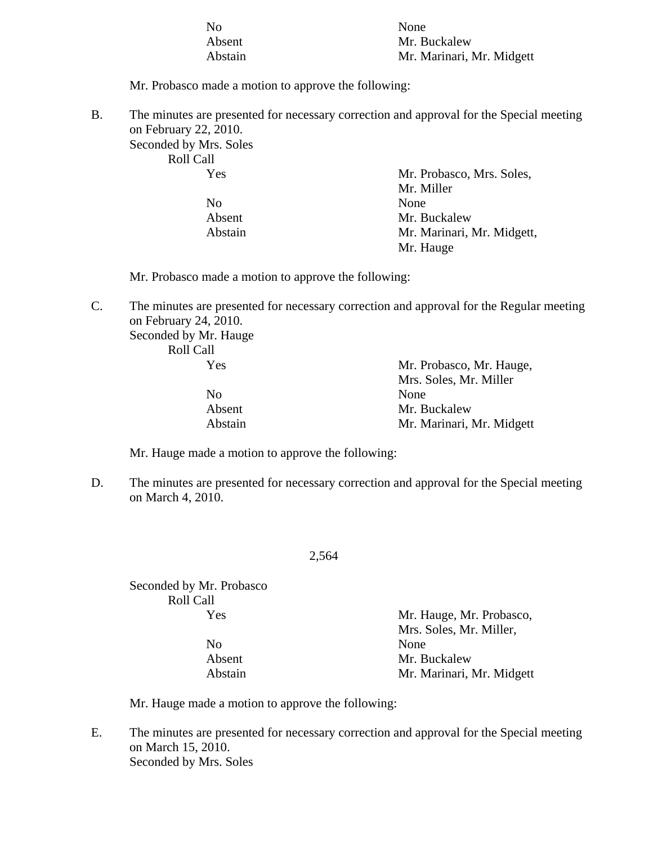| N <sub>0</sub> | None                      |
|----------------|---------------------------|
| Absent         | Mr. Buckalew              |
| Abstain        | Mr. Marinari, Mr. Midgett |

Mr. Probasco made a motion to approve the following:

B. The minutes are presented for necessary correction and approval for the Special meeting on February 22, 2010. Seconded by Mrs. Soles Roll Call

| ROIL CAIL |                            |
|-----------|----------------------------|
| Yes       | Mr. Probasco, Mrs. Soles,  |
|           | Mr. Miller                 |
| No        | None                       |
| Absent    | Mr. Buckalew               |
| Abstain   | Mr. Marinari, Mr. Midgett, |
|           | Mr. Hauge                  |

Mr. Probasco made a motion to approve the following:

C. The minutes are presented for necessary correction and approval for the Regular meeting on February 24, 2010.

Seconded by Mr. Hauge

Roll Call

| Yes            | Mr. Probasco, Mr. Hauge,  |
|----------------|---------------------------|
|                | Mrs. Soles, Mr. Miller    |
| N <sub>0</sub> | None                      |
| Absent         | Mr. Buckalew              |
| Abstain        | Mr. Marinari, Mr. Midgett |

Mr. Hauge made a motion to approve the following:

D. The minutes are presented for necessary correction and approval for the Special meeting on March 4, 2010.

2,564

Seconded by Mr. Probasco Roll Call

No None

 Yes Mr. Hauge, Mr. Probasco, Mrs. Soles, Mr. Miller, Absent Mr. Buckalew Abstain Mr. Marinari, Mr. Midgett

Mr. Hauge made a motion to approve the following:

E. The minutes are presented for necessary correction and approval for the Special meeting on March 15, 2010. Seconded by Mrs. Soles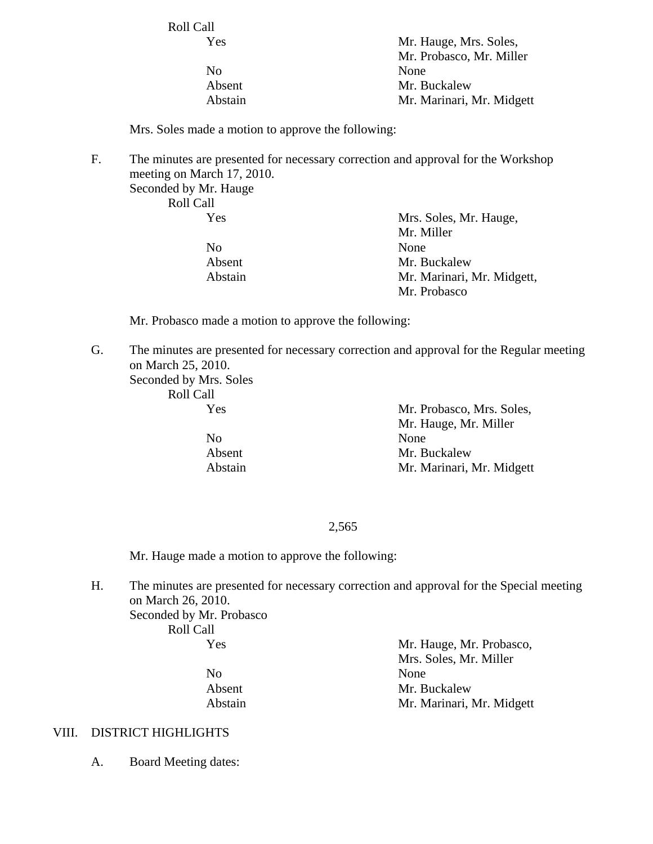Roll Call

No None

 Yes Mr. Hauge, Mrs. Soles, Mr. Probasco, Mr. Miller Absent Mr. Buckalew Abstain Mr. Marinari, Mr. Midgett

Mrs. Soles made a motion to approve the following:

F. The minutes are presented for necessary correction and approval for the Workshop meeting on March 17, 2010.

Seconded by Mr. Hauge Roll Call

No None

 Yes Mrs. Soles, Mr. Hauge, Mr. Miller Absent Mr. Buckalew Abstain Mr. Marinari, Mr. Midgett, Mr. Probasco

Mr. Probasco made a motion to approve the following:

G. The minutes are presented for necessary correction and approval for the Regular meeting on March 25, 2010.

Seconded by Mrs. Soles Roll Call

 Yes Mr. Probasco, Mrs. Soles, Mr. Hauge, Mr. Miller No None Absent Mr. Buckalew Abstain Mr. Marinari, Mr. Midgett

#### 2,565

Mr. Hauge made a motion to approve the following:

H. The minutes are presented for necessary correction and approval for the Special meeting on March 26, 2010. Seconded by Mr. Probasco Roll Call

Yes Mr. Hauge, Mr. Probasco,

 Mrs. Soles, Mr. Miller No None Absent Mr. Buckalew Abstain Mr. Marinari, Mr. Midgett

#### VIII. DISTRICT HIGHLIGHTS

A. Board Meeting dates: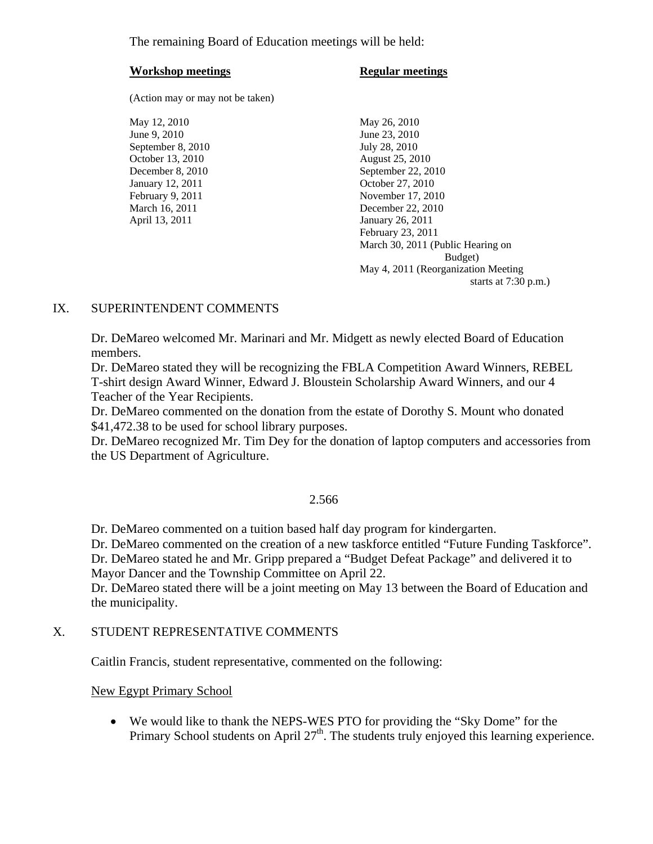The remaining Board of Education meetings will be held:

#### **Workshop meetings** Regular meetings

(Action may or may not be taken)

May 12, 2010 May 26, 2010 June 9, 2010 June 23, 2010 September 8, 2010 July 28, 2010 October 13, 2010 August 25, 2010 January 12, 2011 October 27, 2010 April 13, 2011 January 26, 2011

December 8, 2010 September 22, 2010 February 9, 2011 November 17, 2010 March 16, 2011 **December 22, 2010**  February 23, 2011 March 30, 2011 (Public Hearing on Budget) May 4, 2011 (Reorganization Meeting starts at 7:30 p.m.)

# IX. SUPERINTENDENT COMMENTS

Dr. DeMareo welcomed Mr. Marinari and Mr. Midgett as newly elected Board of Education members.

 Dr. DeMareo stated they will be recognizing the FBLA Competition Award Winners, REBEL T-shirt design Award Winner, Edward J. Bloustein Scholarship Award Winners, and our 4 Teacher of the Year Recipients.

Dr. DeMareo commented on the donation from the estate of Dorothy S. Mount who donated \$41,472.38 to be used for school library purposes.

Dr. DeMareo recognized Mr. Tim Dey for the donation of laptop computers and accessories from the US Department of Agriculture.

#### 2.566

Dr. DeMareo commented on a tuition based half day program for kindergarten.

Dr. DeMareo commented on the creation of a new taskforce entitled "Future Funding Taskforce".

Dr. DeMareo stated he and Mr. Gripp prepared a "Budget Defeat Package" and delivered it to Mayor Dancer and the Township Committee on April 22.

Dr. DeMareo stated there will be a joint meeting on May 13 between the Board of Education and the municipality.

#### X. STUDENT REPRESENTATIVE COMMENTS

Caitlin Francis, student representative, commented on the following:

New Egypt Primary School

• We would like to thank the NEPS-WES PTO for providing the "Sky Dome" for the Primary School students on April  $27<sup>th</sup>$ . The students truly enjoyed this learning experience.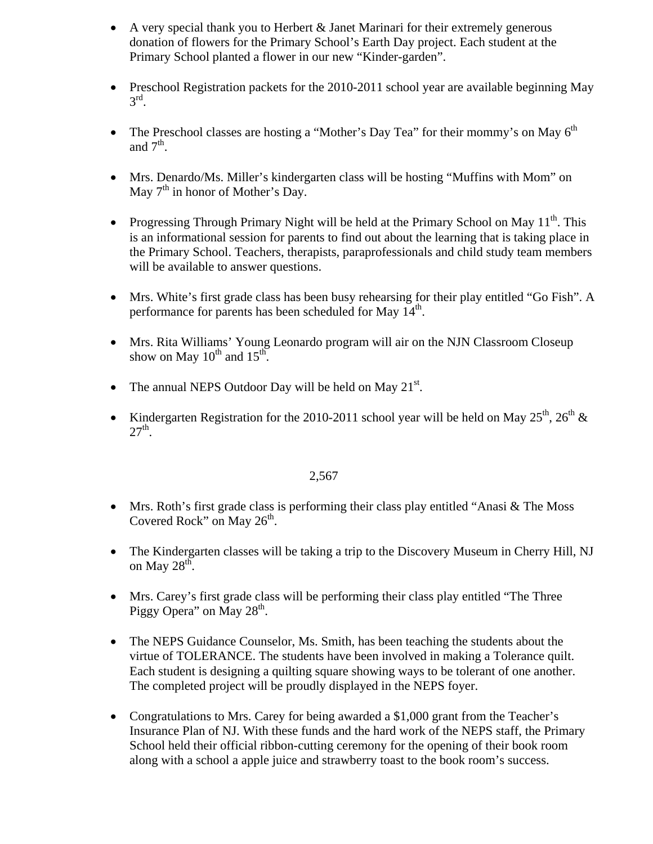- A very special thank you to Herbert & Janet Marinari for their extremely generous donation of flowers for the Primary School's Earth Day project. Each student at the Primary School planted a flower in our new "Kinder-garden".
- Preschool Registration packets for the 2010-2011 school year are available beginning May  $3^{\text{rd}}$ .
- The Preschool classes are hosting a "Mother's Day Tea" for their mommy's on May  $6<sup>th</sup>$ and  $7<sup>th</sup>$ .
- Mrs. Denardo/Ms. Miller's kindergarten class will be hosting "Muffins with Mom" on May  $7<sup>th</sup>$  in honor of Mother's Day.
- Progressing Through Primary Night will be held at the Primary School on May  $11<sup>th</sup>$ . This is an informational session for parents to find out about the learning that is taking place in the Primary School. Teachers, therapists, paraprofessionals and child study team members will be available to answer questions.
- Mrs. White's first grade class has been busy rehearsing for their play entitled "Go Fish". A performance for parents has been scheduled for May  $14<sup>th</sup>$ .
- Mrs. Rita Williams' Young Leonardo program will air on the NJN Classroom Closeup show on May  $10^{th}$  and  $15^{th}$ .
- The annual NEPS Outdoor Day will be held on May  $21^{st}$ .
- Kindergarten Registration for the 2010-2011 school year will be held on May  $25^{th}$ ,  $26^{th}$  &  $27<sup>th</sup>$ .

- Mrs. Roth's first grade class is performing their class play entitled "Anasi & The Moss" Covered Rock" on May  $26<sup>th</sup>$ .
- The Kindergarten classes will be taking a trip to the Discovery Museum in Cherry Hill, NJ on May  $28^{\text{th}}$ .
- Mrs. Carey's first grade class will be performing their class play entitled "The Three Piggy Opera" on May  $28<sup>th</sup>$ .
- The NEPS Guidance Counselor, Ms. Smith, has been teaching the students about the virtue of TOLERANCE. The students have been involved in making a Tolerance quilt. Each student is designing a quilting square showing ways to be tolerant of one another. The completed project will be proudly displayed in the NEPS foyer.
- Congratulations to Mrs. Carey for being awarded a \$1,000 grant from the Teacher's Insurance Plan of NJ. With these funds and the hard work of the NEPS staff, the Primary School held their official ribbon-cutting ceremony for the opening of their book room along with a school a apple juice and strawberry toast to the book room's success.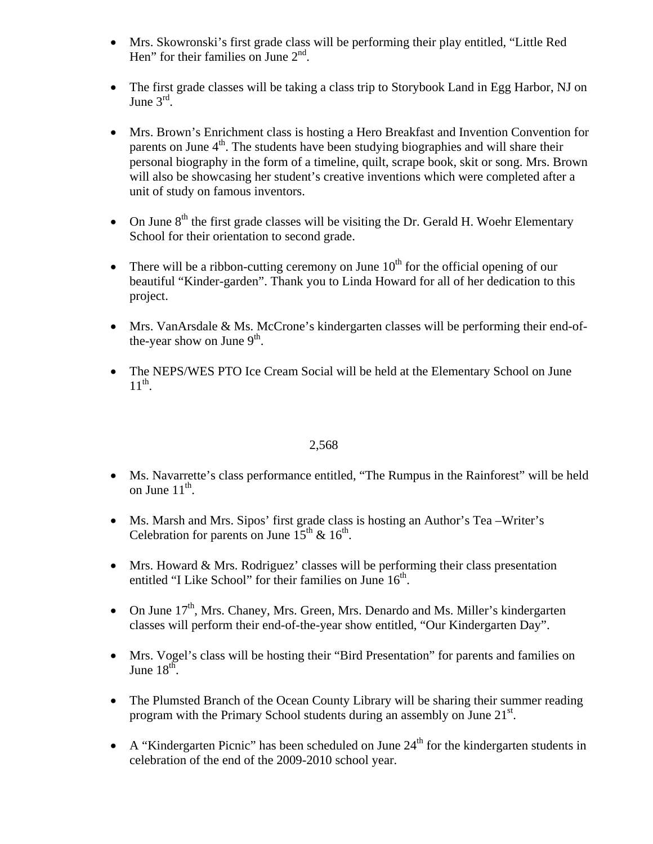- Mrs. Skowronski's first grade class will be performing their play entitled, "Little Red Hen" for their families on June  $2<sup>nd</sup>$ .
- The first grade classes will be taking a class trip to Storybook Land in Egg Harbor, NJ on June  $3<sup>rd</sup>$ .
- Mrs. Brown's Enrichment class is hosting a Hero Breakfast and Invention Convention for parents on June  $4<sup>th</sup>$ . The students have been studying biographies and will share their personal biography in the form of a timeline, quilt, scrape book, skit or song. Mrs. Brown will also be showcasing her student's creative inventions which were completed after a unit of study on famous inventors.
- On June  $8<sup>th</sup>$  the first grade classes will be visiting the Dr. Gerald H. Woehr Elementary School for their orientation to second grade.
- There will be a ribbon-cutting ceremony on June  $10<sup>th</sup>$  for the official opening of our beautiful "Kinder-garden". Thank you to Linda Howard for all of her dedication to this project.
- Mrs. VanArsdale & Ms. McCrone's kindergarten classes will be performing their end-ofthe-year show on June  $9<sup>th</sup>$ .
- The NEPS/WES PTO Ice Cream Social will be held at the Elementary School on June  $11^{th}$ .

- Ms. Navarrette's class performance entitled, "The Rumpus in the Rainforest" will be held on June  $11^{\text{th}}$ .
- Ms. Marsh and Mrs. Sipos' first grade class is hosting an Author's Tea –Writer's Celebration for parents on June  $15^{th}$  &  $16^{th}$ .
- Mrs. Howard & Mrs. Rodriguez' classes will be performing their class presentation entitled "I Like School" for their families on June  $16<sup>th</sup>$ .
- On June  $17<sup>th</sup>$ , Mrs. Chaney, Mrs. Green, Mrs. Denardo and Ms. Miller's kindergarten classes will perform their end-of-the-year show entitled, "Our Kindergarten Day".
- Mrs. Vogel's class will be hosting their "Bird Presentation" for parents and families on June  $18^{\text{th}}$ .
- The Plumsted Branch of the Ocean County Library will be sharing their summer reading program with the Primary School students during an assembly on June  $21<sup>st</sup>$ .
- A "Kindergarten Picnic" has been scheduled on June  $24<sup>th</sup>$  for the kindergarten students in celebration of the end of the 2009-2010 school year.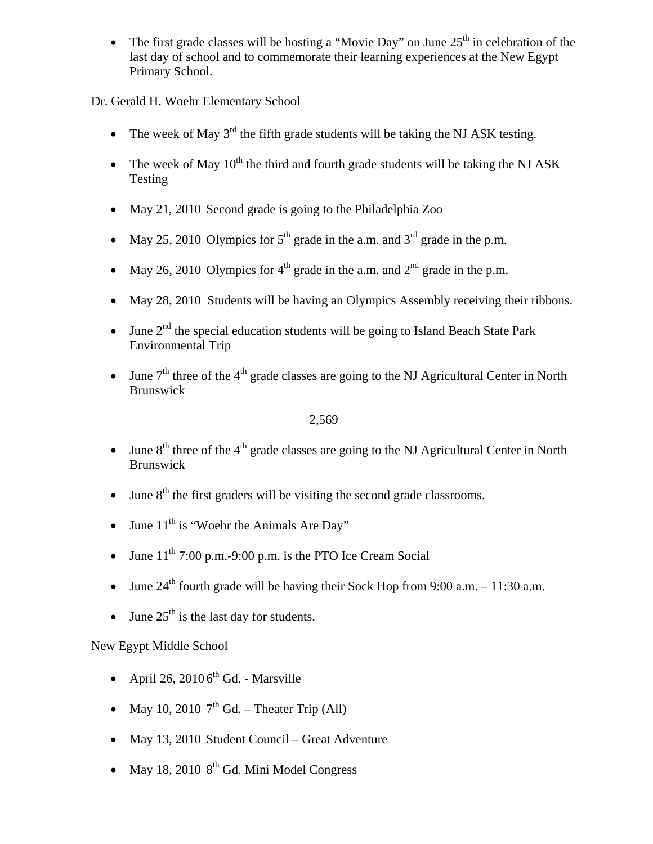The first grade classes will be hosting a "Movie Day" on June  $25<sup>th</sup>$  in celebration of the last day of school and to commemorate their learning experiences at the New Egypt Primary School.

# Dr. Gerald H. Woehr Elementary School

- The week of May  $3^{rd}$  the fifth grade students will be taking the NJ ASK testing.
- The week of May  $10<sup>th</sup>$  the third and fourth grade students will be taking the NJ ASK Testing
- May 21, 2010 Second grade is going to the Philadelphia Zoo
- May 25, 2010 Olympics for  $5<sup>th</sup>$  grade in the a.m. and  $3<sup>rd</sup>$  grade in the p.m.
- May 26, 2010 Olympics for  $4<sup>th</sup>$  grade in the a.m. and  $2<sup>nd</sup>$  grade in the p.m.
- May 28, 2010 Students will be having an Olympics Assembly receiving their ribbons.
- June  $2<sup>nd</sup>$  the special education students will be going to Island Beach State Park Environmental Trip
- June  $7<sup>th</sup>$  three of the 4<sup>th</sup> grade classes are going to the NJ Agricultural Center in North Brunswick

## 2,569

- June  $8<sup>th</sup>$  three of the  $4<sup>th</sup>$  grade classes are going to the NJ Agricultural Center in North Brunswick
- June  $8<sup>th</sup>$  the first graders will be visiting the second grade classrooms.
- June  $11<sup>th</sup>$  is "Woehr the Animals Are Day"
- June  $11<sup>th</sup>$  7:00 p.m.-9:00 p.m. is the PTO Ice Cream Social
- June  $24<sup>th</sup>$  fourth grade will be having their Sock Hop from 9:00 a.m. 11:30 a.m.
- June  $25<sup>th</sup>$  is the last day for students.

# New Egypt Middle School

- April 26, 2010  $6<sup>th</sup>$  Gd. Marsville
- May 10, 2010  $7<sup>th</sup>$  Gd. Theater Trip (All)
- May 13, 2010 Student Council Great Adventure
- May 18, 2010  $8<sup>th</sup>$  Gd. Mini Model Congress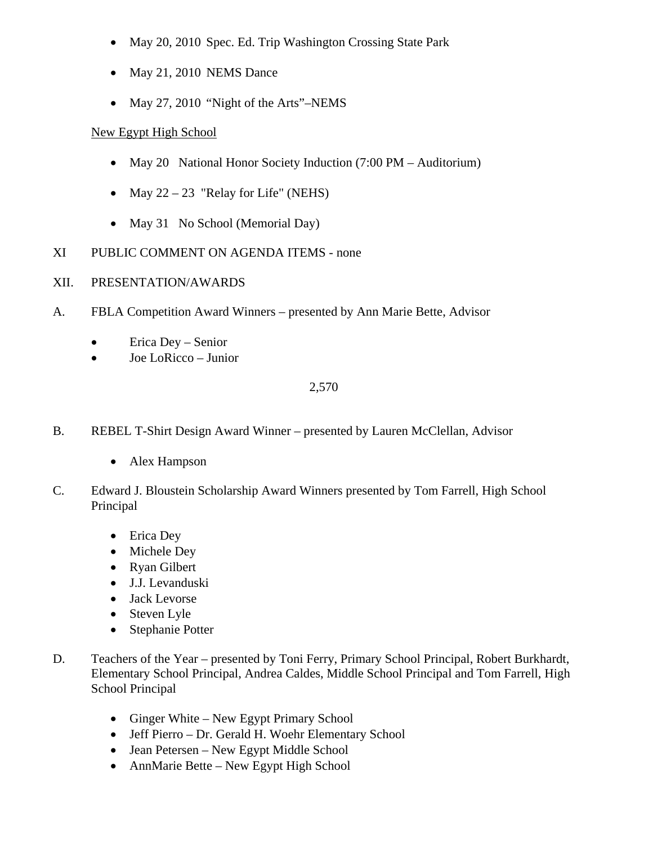- May 20, 2010 Spec. Ed. Trip Washington Crossing State Park
- May 21, 2010 NEMS Dance
- May 27, 2010 "Night of the Arts"-NEMS

# New Egypt High School

- May 20 National Honor Society Induction (7:00 PM Auditorium)
- May  $22 23$  "Relay for Life" (NEHS)
- May 31 No School (Memorial Day)
- XI PUBLIC COMMENT ON AGENDA ITEMS none
- XII. PRESENTATION/AWARDS
- A. FBLA Competition Award Winners presented by Ann Marie Bette, Advisor
	- Erica Dey Senior
	- Joe LoRicco Junior

- B. REBEL T-Shirt Design Award Winner presented by Lauren McClellan, Advisor
	- Alex Hampson
- C. Edward J. Bloustein Scholarship Award Winners presented by Tom Farrell, High School Principal
	- Erica Dey
	- Michele Dey
	- Ryan Gilbert
	- J.J. Levanduski
	- Jack Levorse
	- Steven Lyle
	- Stephanie Potter
- D. Teachers of the Year presented by Toni Ferry, Primary School Principal, Robert Burkhardt, Elementary School Principal, Andrea Caldes, Middle School Principal and Tom Farrell, High School Principal
	- Ginger White New Egypt Primary School
	- Jeff Pierro Dr. Gerald H. Woehr Elementary School
	- Jean Petersen New Egypt Middle School
	- AnnMarie Bette New Egypt High School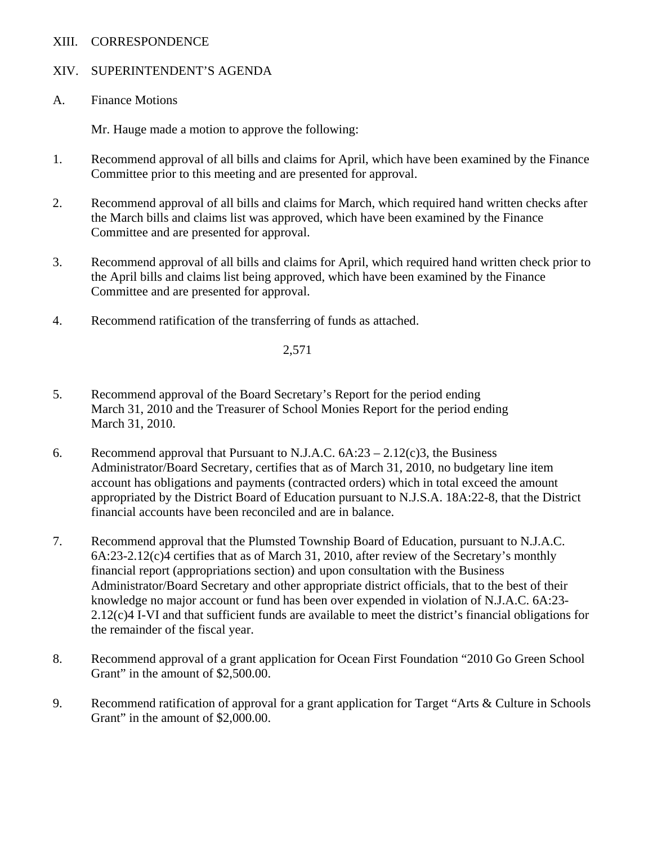## XIII. CORRESPONDENCE

# XIV. SUPERINTENDENT'S AGENDA

A. Finance Motions

Mr. Hauge made a motion to approve the following:

- 1. Recommend approval of all bills and claims for April, which have been examined by the Finance Committee prior to this meeting and are presented for approval.
- 2. Recommend approval of all bills and claims for March, which required hand written checks after the March bills and claims list was approved, which have been examined by the Finance Committee and are presented for approval.
- 3. Recommend approval of all bills and claims for April, which required hand written check prior to the April bills and claims list being approved, which have been examined by the Finance Committee and are presented for approval.
- 4. Recommend ratification of the transferring of funds as attached.

- 5. Recommend approval of the Board Secretary's Report for the period ending March 31, 2010 and the Treasurer of School Monies Report for the period ending March 31, 2010.
- 6. Recommend approval that Pursuant to N.J.A.C.  $6A:23 2.12(c)3$ , the Business Administrator/Board Secretary, certifies that as of March 31, 2010, no budgetary line item account has obligations and payments (contracted orders) which in total exceed the amount appropriated by the District Board of Education pursuant to N.J.S.A. 18A:22-8, that the District financial accounts have been reconciled and are in balance.
- 7. Recommend approval that the Plumsted Township Board of Education, pursuant to N.J.A.C. 6A:23-2.12(c)4 certifies that as of March 31, 2010, after review of the Secretary's monthly financial report (appropriations section) and upon consultation with the Business Administrator/Board Secretary and other appropriate district officials, that to the best of their knowledge no major account or fund has been over expended in violation of N.J.A.C. 6A:23- 2.12(c)4 I-VI and that sufficient funds are available to meet the district's financial obligations for the remainder of the fiscal year.
- 8. Recommend approval of a grant application for Ocean First Foundation "2010 Go Green School Grant" in the amount of \$2,500.00.
- 9. Recommend ratification of approval for a grant application for Target "Arts & Culture in Schools Grant" in the amount of \$2,000.00.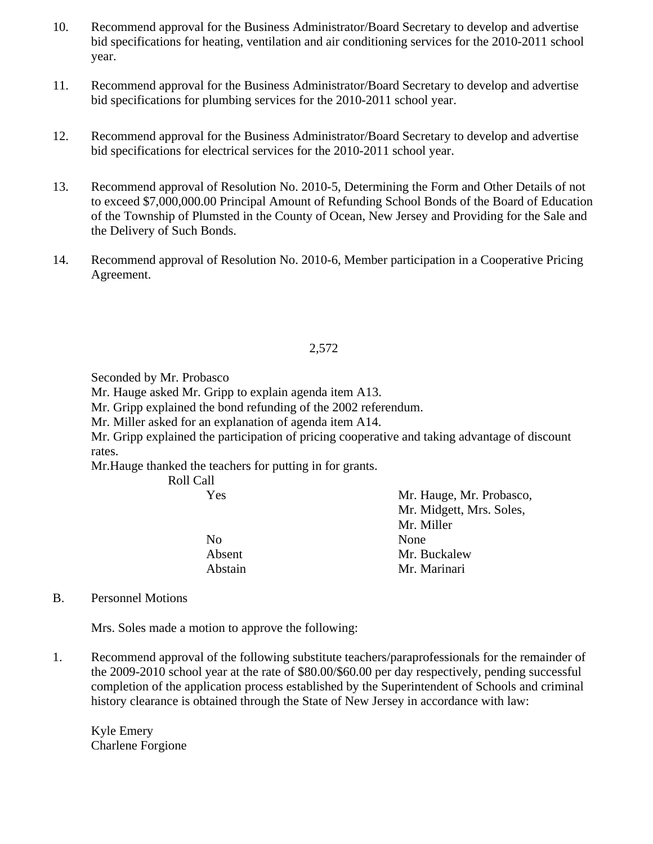- 10. Recommend approval for the Business Administrator/Board Secretary to develop and advertise bid specifications for heating, ventilation and air conditioning services for the 2010-2011 school year.
- 11. Recommend approval for the Business Administrator/Board Secretary to develop and advertise bid specifications for plumbing services for the 2010-2011 school year.
- 12. Recommend approval for the Business Administrator/Board Secretary to develop and advertise bid specifications for electrical services for the 2010-2011 school year.
- 13. Recommend approval of Resolution No. 2010-5, Determining the Form and Other Details of not to exceed \$7,000,000.00 Principal Amount of Refunding School Bonds of the Board of Education of the Township of Plumsted in the County of Ocean, New Jersey and Providing for the Sale and the Delivery of Such Bonds.
- 14. Recommend approval of Resolution No. 2010-6, Member participation in a Cooperative Pricing Agreement.

Seconded by Mr. Probasco

Mr. Hauge asked Mr. Gripp to explain agenda item A13.

Mr. Gripp explained the bond refunding of the 2002 referendum.

Mr. Miller asked for an explanation of agenda item A14.

Mr. Gripp explained the participation of pricing cooperative and taking advantage of discount rates.

Mr.Hauge thanked the teachers for putting in for grants.

| Roll Call      |                          |
|----------------|--------------------------|
| Yes            | Mr. Hauge, Mr. Probasco, |
|                | Mr. Midgett, Mrs. Soles, |
|                | Mr. Miller               |
| N <sub>0</sub> | None                     |
| Absent         | Mr. Buckalew             |
| Abstain        | Mr. Marinari             |

B. Personnel Motions

Mrs. Soles made a motion to approve the following:

1. Recommend approval of the following substitute teachers/paraprofessionals for the remainder of the 2009-2010 school year at the rate of \$80.00/\$60.00 per day respectively, pending successful completion of the application process established by the Superintendent of Schools and criminal history clearance is obtained through the State of New Jersey in accordance with law:

 Kyle Emery Charlene Forgione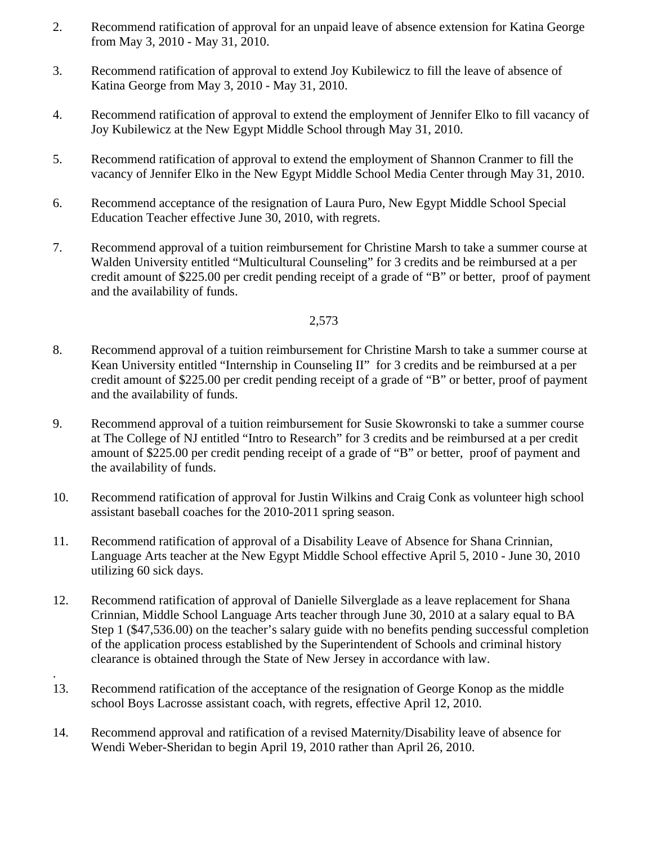- 2. Recommend ratification of approval for an unpaid leave of absence extension for Katina George from May 3, 2010 - May 31, 2010.
- 3. Recommend ratification of approval to extend Joy Kubilewicz to fill the leave of absence of Katina George from May 3, 2010 - May 31, 2010.
- 4. Recommend ratification of approval to extend the employment of Jennifer Elko to fill vacancy of Joy Kubilewicz at the New Egypt Middle School through May 31, 2010.
- 5. Recommend ratification of approval to extend the employment of Shannon Cranmer to fill the vacancy of Jennifer Elko in the New Egypt Middle School Media Center through May 31, 2010.
- 6. Recommend acceptance of the resignation of Laura Puro, New Egypt Middle School Special Education Teacher effective June 30, 2010, with regrets.
- 7. Recommend approval of a tuition reimbursement for Christine Marsh to take a summer course at Walden University entitled "Multicultural Counseling" for 3 credits and be reimbursed at a per credit amount of \$225.00 per credit pending receipt of a grade of "B" or better, proof of payment and the availability of funds.

- 8. Recommend approval of a tuition reimbursement for Christine Marsh to take a summer course at Kean University entitled "Internship in Counseling II" for 3 credits and be reimbursed at a per credit amount of \$225.00 per credit pending receipt of a grade of "B" or better, proof of payment and the availability of funds.
- 9. Recommend approval of a tuition reimbursement for Susie Skowronski to take a summer course at The College of NJ entitled "Intro to Research" for 3 credits and be reimbursed at a per credit amount of \$225.00 per credit pending receipt of a grade of "B" or better, proof of payment and the availability of funds.
- 10. Recommend ratification of approval for Justin Wilkins and Craig Conk as volunteer high school assistant baseball coaches for the 2010-2011 spring season.
- 11. Recommend ratification of approval of a Disability Leave of Absence for Shana Crinnian, Language Arts teacher at the New Egypt Middle School effective April 5, 2010 - June 30, 2010 utilizing 60 sick days.
- 12. Recommend ratification of approval of Danielle Silverglade as a leave replacement for Shana Crinnian, Middle School Language Arts teacher through June 30, 2010 at a salary equal to BA Step 1 (\$47,536.00) on the teacher's salary guide with no benefits pending successful completion of the application process established by the Superintendent of Schools and criminal history clearance is obtained through the State of New Jersey in accordance with law.
- 13. Recommend ratification of the acceptance of the resignation of George Konop as the middle school Boys Lacrosse assistant coach, with regrets, effective April 12, 2010.

.

14. Recommend approval and ratification of a revised Maternity/Disability leave of absence for Wendi Weber-Sheridan to begin April 19, 2010 rather than April 26, 2010.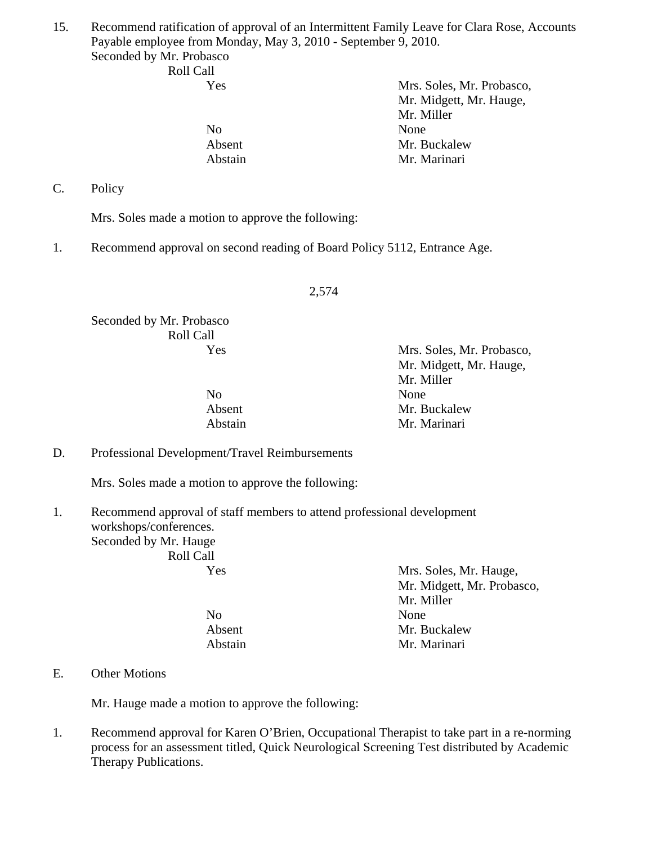15. Recommend ratification of approval of an Intermittent Family Leave for Clara Rose, Accounts Payable employee from Monday, May 3, 2010 - September 9, 2010. Seconded by Mr. Probasco

 Roll Call Yes Mrs. Soles, Mr. Probasco, Mr. Midgett, Mr. Hauge, Mr. Miller No None Absent Mr. Buckalew Abstain Mr. Marinari

C. Policy

Mrs. Soles made a motion to approve the following:

1. Recommend approval on second reading of Board Policy 5112, Entrance Age.

2,574

Seconded by Mr. Probasco Roll Call

No None

 Yes Mrs. Soles, Mr. Probasco, Mr. Midgett, Mr. Hauge, Mr. Miller Absent Mr. Buckalew Abstain Mr. Marinari

D. Professional Development/Travel Reimbursements

Mrs. Soles made a motion to approve the following:

1. Recommend approval of staff members to attend professional development workshops/conferences. Seconded by Mr. Hauge Roll Call

 Yes Mrs. Soles, Mr. Hauge, Mr. Midgett, Mr. Probasco, Mr. Miller No None Absent Mr. Buckalew Abstain Mr. Marinari

#### E. Other Motions

Mr. Hauge made a motion to approve the following:

1. Recommend approval for Karen O'Brien, Occupational Therapist to take part in a re-norming process for an assessment titled, Quick Neurological Screening Test distributed by Academic Therapy Publications.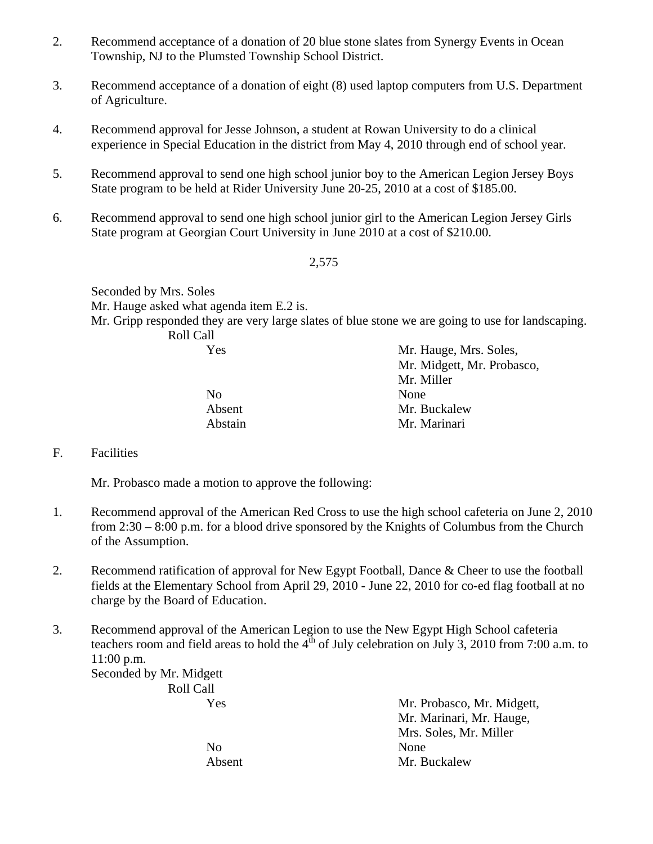- 2. Recommend acceptance of a donation of 20 blue stone slates from Synergy Events in Ocean Township, NJ to the Plumsted Township School District.
- 3. Recommend acceptance of a donation of eight (8) used laptop computers from U.S. Department of Agriculture.
- 4. Recommend approval for Jesse Johnson, a student at Rowan University to do a clinical experience in Special Education in the district from May 4, 2010 through end of school year.
- 5. Recommend approval to send one high school junior boy to the American Legion Jersey Boys State program to be held at Rider University June 20-25, 2010 at a cost of \$185.00.
- 6. Recommend approval to send one high school junior girl to the American Legion Jersey Girls State program at Georgian Court University in June 2010 at a cost of \$210.00.

Seconded by Mrs. Soles Mr. Hauge asked what agenda item E.2 is. Mr. Gripp responded they are very large slates of blue stone we are going to use for landscaping. Roll Call

| Yes            | Mr. Hauge, Mrs. Soles,     |
|----------------|----------------------------|
|                | Mr. Midgett, Mr. Probasco, |
|                | Mr. Miller                 |
| N <sub>o</sub> | None                       |
| Absent         | Mr. Buckalew               |
| Abstain        | Mr. Marinari               |

F. Facilities

Mr. Probasco made a motion to approve the following:

- 1. Recommend approval of the American Red Cross to use the high school cafeteria on June 2, 2010 from 2:30 – 8:00 p.m. for a blood drive sponsored by the Knights of Columbus from the Church of the Assumption.
- 2. Recommend ratification of approval for New Egypt Football, Dance & Cheer to use the football fields at the Elementary School from April 29, 2010 - June 22, 2010 for co-ed flag football at no charge by the Board of Education.
- 3. Recommend approval of the American Legion to use the New Egypt High School cafeteria teachers room and field areas to hold the  $4<sup>th</sup>$  of July celebration on July 3, 2010 from 7:00 a.m. to 11:00 p.m.

Seconded by Mr. Midgett Roll Call

| Mr. Probasco, Mr. Midgett, |
|----------------------------|
| Mr. Marinari, Mr. Hauge,   |
| Mrs. Soles, Mr. Miller     |
| None                       |
| Mr. Buckalew               |
|                            |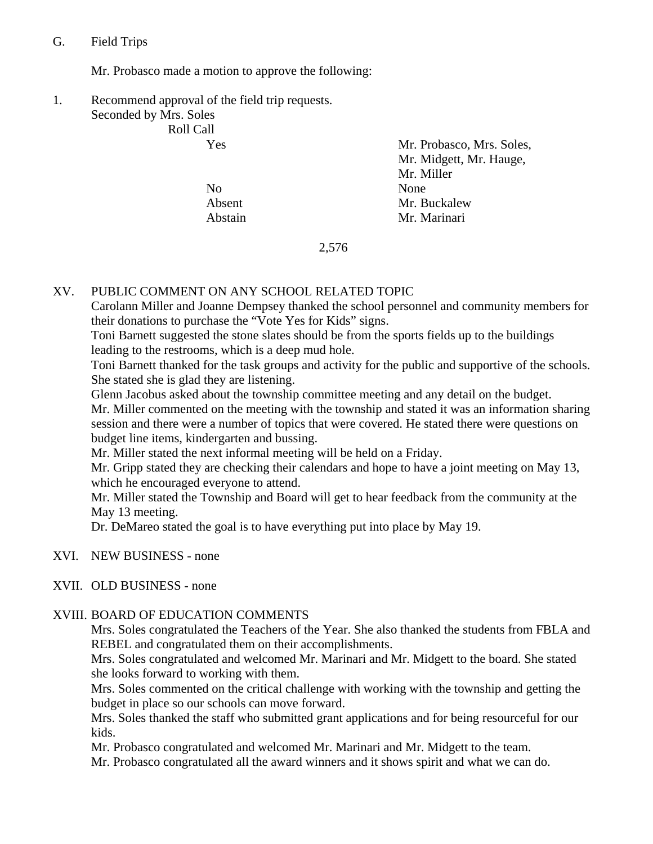## G. Field Trips

Mr. Probasco made a motion to approve the following:

1. Recommend approval of the field trip requests. Seconded by Mrs. Soles

Roll Call

No None

 Yes Mr. Probasco, Mrs. Soles, Mr. Midgett, Mr. Hauge, Mr. Miller Absent Mr. Buckalew Abstain Mr. Marinari

2,576

## XV. PUBLIC COMMENT ON ANY SCHOOL RELATED TOPIC

Carolann Miller and Joanne Dempsey thanked the school personnel and community members for their donations to purchase the "Vote Yes for Kids" signs.

Toni Barnett suggested the stone slates should be from the sports fields up to the buildings leading to the restrooms, which is a deep mud hole.

Toni Barnett thanked for the task groups and activity for the public and supportive of the schools. She stated she is glad they are listening.

Glenn Jacobus asked about the township committee meeting and any detail on the budget. Mr. Miller commented on the meeting with the township and stated it was an information sharing session and there were a number of topics that were covered. He stated there were questions on budget line items, kindergarten and bussing.

Mr. Miller stated the next informal meeting will be held on a Friday.

Mr. Gripp stated they are checking their calendars and hope to have a joint meeting on May 13, which he encouraged everyone to attend.

Mr. Miller stated the Township and Board will get to hear feedback from the community at the May 13 meeting.

Dr. DeMareo stated the goal is to have everything put into place by May 19.

XVI. NEW BUSINESS - none

# XVII. OLD BUSINESS - none

# XVIII. BOARD OF EDUCATION COMMENTS

Mrs. Soles congratulated the Teachers of the Year. She also thanked the students from FBLA and REBEL and congratulated them on their accomplishments.

Mrs. Soles congratulated and welcomed Mr. Marinari and Mr. Midgett to the board. She stated she looks forward to working with them.

Mrs. Soles commented on the critical challenge with working with the township and getting the budget in place so our schools can move forward.

Mrs. Soles thanked the staff who submitted grant applications and for being resourceful for our kids.

Mr. Probasco congratulated and welcomed Mr. Marinari and Mr. Midgett to the team.

Mr. Probasco congratulated all the award winners and it shows spirit and what we can do.